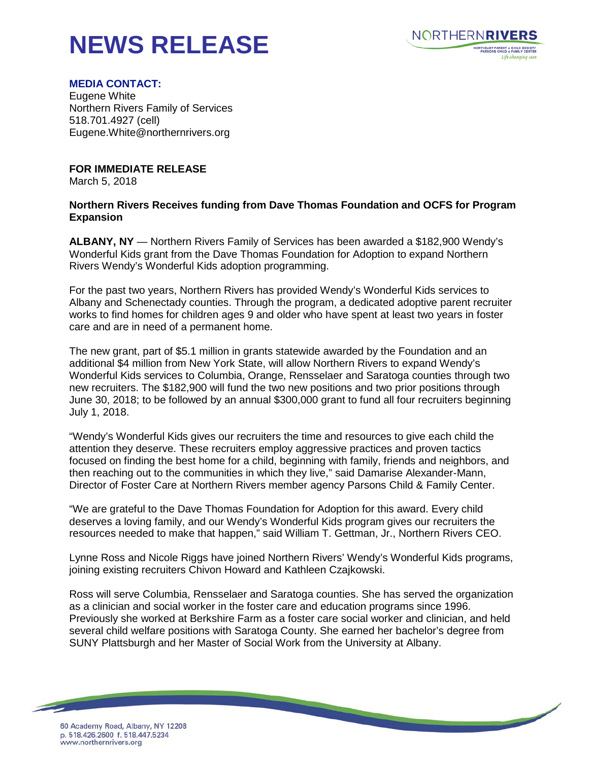## **NEWS RELEASE**



## **MEDIA CONTACT:**

Eugene White Northern Rivers Family of Services 518.701.4927 (cell) Eugene.White@northernrivers.org

**FOR IMMEDIATE RELEASE**

March 5, 2018

## **Northern Rivers Receives funding from Dave Thomas Foundation and OCFS for Program Expansion**

**ALBANY, NY** — Northern Rivers Family of Services has been awarded a \$182,900 Wendy's Wonderful Kids grant from the Dave Thomas Foundation for Adoption to expand Northern Rivers Wendy's Wonderful Kids adoption programming.

For the past two years, Northern Rivers has provided Wendy's Wonderful Kids services to Albany and Schenectady counties. Through the program, a dedicated adoptive parent recruiter works to find homes for children ages 9 and older who have spent at least two years in foster care and are in need of a permanent home.

The new grant, part of \$5.1 million in grants statewide awarded by the Foundation and an additional \$4 million from New York State, will allow Northern Rivers to expand Wendy's Wonderful Kids services to Columbia, Orange, Rensselaer and Saratoga counties through two new recruiters. The \$182,900 will fund the two new positions and two prior positions through June 30, 2018; to be followed by an annual \$300,000 grant to fund all four recruiters beginning July 1, 2018.

"Wendy's Wonderful Kids gives our recruiters the time and resources to give each child the attention they deserve. These recruiters employ aggressive practices and proven tactics focused on finding the best home for a child, beginning with family, friends and neighbors, and then reaching out to the communities in which they live," said Damarise Alexander-Mann, Director of Foster Care at Northern Rivers member agency Parsons Child & Family Center.

"We are grateful to the Dave Thomas Foundation for Adoption for this award. Every child deserves a loving family, and our Wendy's Wonderful Kids program gives our recruiters the resources needed to make that happen," said William T. Gettman, Jr., Northern Rivers CEO.

Lynne Ross and Nicole Riggs have joined Northern Rivers' Wendy's Wonderful Kids programs, joining existing recruiters Chivon Howard and Kathleen Czajkowski.

Ross will serve Columbia, Rensselaer and Saratoga counties. She has served the organization as a clinician and social worker in the foster care and education programs since 1996. Previously she worked at Berkshire Farm as a foster care social worker and clinician, and held several child welfare positions with Saratoga County. She earned her bachelor's degree from SUNY Plattsburgh and her Master of Social Work from the University at Albany.

<u> The Company of the Company of the Company of the Company of the Company of the Company of the Company of the Company of the Company of the Company of the Company of the Company of the Company of the Company of the Compan</u>

60 Academy Road, Albany, NY 12208 p. 518.426.2600 f. 518.447.5234 www.northernrivers.org